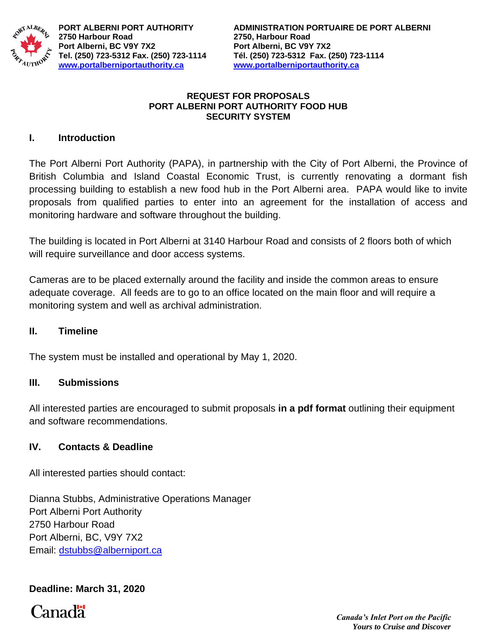

**2750 Harbour Road 2750, Harbour Road Port Alberni, BC V9Y 7X2 Port Alberni, BC V9Y 7X2 [www.portalberniportauthority.ca](http://www.portalberniportauthority.ca/) [www.portalberniportauthority.ca](http://www.portalberniportauthority.ca/)**

#### **REQUEST FOR PROPOSALS PORT ALBERNI PORT AUTHORITY FOOD HUB SECURITY SYSTEM**

## **I. Introduction**

The Port Alberni Port Authority (PAPA), in partnership with the City of Port Alberni, the Province of British Columbia and Island Coastal Economic Trust, is currently renovating a dormant fish processing building to establish a new food hub in the Port Alberni area. PAPA would like to invite proposals from qualified parties to enter into an agreement for the installation of access and monitoring hardware and software throughout the building.

The building is located in Port Alberni at 3140 Harbour Road and consists of 2 floors both of which will require surveillance and door access systems.

Cameras are to be placed externally around the facility and inside the common areas to ensure adequate coverage. All feeds are to go to an office located on the main floor and will require a monitoring system and well as archival administration.

### **II. Timeline**

The system must be installed and operational by May 1, 2020.

### **III. Submissions**

All interested parties are encouraged to submit proposals **in a pdf format** outlining their equipment and software recommendations.

### **IV. Contacts & Deadline**

All interested parties should contact:

Dianna Stubbs, Administrative Operations Manager Port Alberni Port Authority 2750 Harbour Road Port Alberni, BC, V9Y 7X2 Email: [dstubbs@alberniport.ca](mailto:dstubbs@alberniport.ca)

# **Deadline: March 31, 2020**

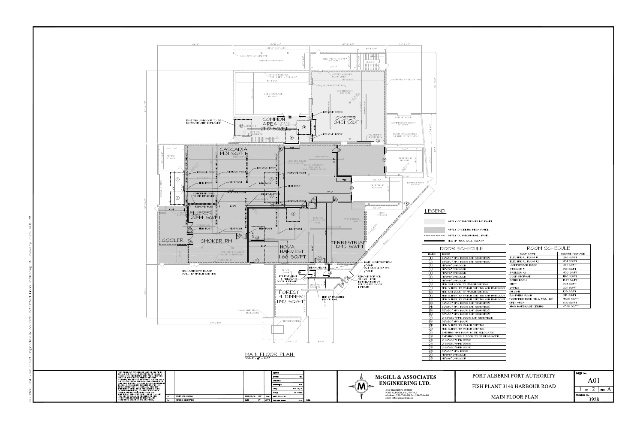

| 45'-11 1/2"                                                        | $45 - 10$ $1/2$                                      | $20 - 111/2$                                        |                                           |                                 |                   |
|--------------------------------------------------------------------|------------------------------------------------------|-----------------------------------------------------|-------------------------------------------|---------------------------------|-------------------|
| _______________________LINE_OF_ROOF_OVER__________________         | $ 6 -   3/4$ "                                       |                                                     |                                           |                                 |                   |
|                                                                    |                                                      |                                                     |                                           |                                 |                   |
| $\boxtimes$                                                        | ,,,,,,,,,,,,,,,,,,,,,,,,,,,,,,,                      |                                                     |                                           |                                 |                   |
| -6X6 WOOD COLUMN TYP.                                              | <u>Tan da sheka</u>                                  |                                                     |                                           |                                 |                   |
| OUTDOOR COVERED AREA                                               | ELECTRICAL ROOM #1<br>266 SQ/FT                      |                                                     |                                           |                                 |                   |
|                                                                    | STORAGE<br>רדז⁄דרדת־רדת                              |                                                     |                                           |                                 |                   |
|                                                                    | $26'$ - $  $ "                                       |                                                     |                                           |                                 |                   |
|                                                                    |                                                      |                                                     |                                           |                                 |                   |
|                                                                    |                                                      |                                                     |                                           |                                 |                   |
| OFFSET DENOTES<br>$F$ OAM LINER $\sim$ EST. @ $\beta$ "            | OFFSET DENOTES<br>FOAM LINER                         |                                                     |                                           |                                 |                   |
|                                                                    | $43 - 85/8$                                          | -DENOTES $\beta$ " BLOCK WAL $\mathord{\downarrow}$ |                                           |                                 |                   |
| 43'-11 1/2"                                                        |                                                      |                                                     |                                           |                                 |                   |
|                                                                    | -INS. SLIDING DOOR TYP.                              |                                                     |                                           |                                 |                   |
|                                                                    |                                                      |                                                     |                                           |                                 |                   |
|                                                                    | SURIMI ROOM<br>1827 SQ/FT                            |                                                     |                                           |                                 |                   |
| COLD STORAGE                                                       |                                                      |                                                     |                                           |                                 |                   |
| <b>1120 SQ/FT</b>                                                  |                                                      |                                                     |                                           |                                 |                   |
|                                                                    |                                                      |                                                     |                                           |                                 |                   |
|                                                                    |                                                      |                                                     |                                           |                                 |                   |
|                                                                    |                                                      |                                                     |                                           |                                 |                   |
|                                                                    | - REMOVE DOOR                                        |                                                     |                                           |                                 |                   |
|                                                                    |                                                      | 777777777<br>$\frac{1}{2}$                          |                                           |                                 |                   |
| COMMON <sup>O</sup><br>AREA L <sup>4" ¢ STL</sup><br>$\frac{1}{2}$ | OYSTER                                               | ROLL UP DOOR                                        |                                           |                                 |                   |
| <del>∥≏-----------</del> ๅ<br><b>-----------</b>                   |                                                      |                                                     |                                           |                                 |                   |
|                                                                    | 2451 SQ/FT                                           | COMPRESSOR ROOM<br>367 SQ/FT                        |                                           |                                 |                   |
| $\circledcirc$<br>$\odot$                                          |                                                      |                                                     |                                           |                                 |                   |
| $210$ <sup><math>-</math></sup>                                    |                                                      |                                                     |                                           |                                 |                   |
| <b><i>GAURDRAI</i></b><br>--;----------                            | - REMOVE DOOR<br>INS. SLIDING                        | ROOM INACCESSIBLE                                   |                                           |                                 |                   |
| 4 <del>. - - - - <u>- - - -</u> - I- -</del> -                     | DOOR TYP.                                            | AT TIME OF SITE VISIT                               |                                           |                                 |                   |
| $\circled{\scriptstyle\circ}$                                      | $\frac{\qquad \qquad -\qquad \qquad}{\qquad \qquad}$ |                                                     |                                           |                                 |                   |
|                                                                    |                                                      |                                                     |                                           |                                 |                   |
|                                                                    | <u> 1472 - - 2727272727272727272</u>                 |                                                     |                                           |                                 |                   |
| $9 - 8$ "                                                          |                                                      | $21 - 8$ "                                          |                                           |                                 |                   |
| ASCADIA¦<br>∙31 SQ/FT <u>5</u>                                     |                                                      |                                                     |                                           |                                 |                   |
| TRENCH DR                                                          | TRENCH DRAIN                                         |                                                     |                                           |                                 |                   |
|                                                                    |                                                      | FREEZER #1<br>318 sa/FT                             |                                           |                                 |                   |
| DENOTES LUNCH<br>ROOM ABOVE                                        |                                                      |                                                     |                                           |                                 |                   |
|                                                                    | MAIN WAREHOUSE                                       |                                                     |                                           |                                 |                   |
| - REMOVE POST <sub>I</sub>                                         | 9368 SQ/FT<br>(INCL. FREEZER'S #1 & #2)              |                                                     |                                           |                                 |                   |
| - REMOVE POST<br>---------                                         |                                                      |                                                     |                                           |                                 |                   |
| REMOVE POST                                                        |                                                      |                                                     |                                           |                                 |                   |
|                                                                    |                                                      | $722 - 8$ "                                         |                                           |                                 |                   |
| $\circled{5}$<br>- NEW POST                                        | $q' -   \frac{1}{4}$ "<br>$28 - 8$                   |                                                     |                                           |                                 |                   |
| NEW POST                                                           | FREEZER #2                                           | EQUIPMENT ROOM<br>232 SQ/FT                         |                                           |                                 |                   |
| NEW POST                                                           | 420 SQ/FT                                            |                                                     |                                           |                                 |                   |
| _________<br><u>55'-8"</u><br>- REMOVE POST                        | $26 - 2\frac{1}{4}$ "                                |                                                     |                                           |                                 |                   |
|                                                                    |                                                      |                                                     |                                           |                                 |                   |
| REMOVE POST                                                        |                                                      |                                                     |                                           |                                 |                   |
| REMOVE POST                                                        | $\sqrt{6}$<br>$\Box$ ②                               |                                                     |                                           |                                 |                   |
| $-20 - 8$<br>- 36'-b'                                              |                                                      |                                                     |                                           |                                 |                   |
| $\overline{\mathcal{A}}$<br>$16 - 6 + 1$                           | $30 - 0$ "                                           |                                                     |                                           |                                 |                   |
|                                                                    |                                                      |                                                     | LEGEND                                    |                                 |                   |
| $\circled{3}$                                                      | SHOP<br>374 SQ/FT                                    |                                                     |                                           |                                 |                   |
|                                                                    |                                                      |                                                     |                                           |                                 |                   |
|                                                                    | EXISTING<br>4" PARTITION<br>$-PARTITIO$              |                                                     |                                           |                                 |                   |
| <u> ---------</u> 1                                                | NALL<br>WALL                                         |                                                     | APPLY OCTAFORM CEILING PANEL              |                                 |                   |
| ----------                                                         | <b>I DRAIN</b>                                       |                                                     |                                           |                                 |                   |
| $\sim$ NEW POST<br>- NEW POST<br>NEW POST                          |                                                      |                                                     | APPLY 2" CEILING MESA PANEL               |                                 |                   |
|                                                                    |                                                      |                                                     |                                           |                                 |                   |
|                                                                    |                                                      |                                                     | APPLY OCTAFORM WALL PANEL                 |                                 |                   |
| $\frac{1}{2}$<br>.H DRAIN                                          |                                                      |                                                     |                                           |                                 |                   |
| RM.                                                                | TERRESTRIAL"                                         |                                                     | NEW 4" MESA WALL 326'-0"                  |                                 |                   |
| $18 - 0$ "                                                         | 1245 SQ/FT                                           |                                                     |                                           |                                 |                   |
| NOVA <sub>1</sub><br>___________                                   |                                                      |                                                     | DOOR SCHEDULE                             | ROOM SCHEDULE                   |                   |
| <b>HARVEST</b><br><b>E AND LOCATION</b>                            |                                                      |                                                     |                                           |                                 |                   |
| BE DETERMINED                                                      |                                                      | <b>MARK</b>                                         | <b>DOOR</b>                               | ROOM NAME                       | SQUARE FOOTAGE    |
| 1166 SQ/FT                                                         | (17)                                                 | $( \ \   \ \ )$                                     | 32"x80" MAN DOOR EXIT SIGN REQ'D          | ELECTRICAL ROOM #1              | 266 SQ/FT         |
| $\sqrt{27}$<br>2 MAIN                                              | WALL CONSTRUCTION                                    | (2)                                                 | 36"x80" MAN DOOR EXIT SIGN REQ'D          | ELECTRICAL ROOM #2              | 934 SQ/FT         |
| ,,,,,,,,,,,,,,,,,,,,,,,,,,,                                        | $\frac{1}{2}$ $^{\nu}$ GWB                           | (3)                                                 | 96"x96" O/H DOOR                          | COMPRESSOR ROOM                 | 367 SQ/FT         |
|                                                                    | <b>BEAM ABOVE</b><br>$2x4$ STUD @ $16"$ O/C          | (4)                                                 | 96"x96" O/H DOOR                          | FREEZER #I                      | 318 SQ/FT         |
| FLOOR<br>DRAIN <sup>T</sup>                                        | }" GWB                                               | (5)                                                 | 96"x96" O/H DOOR                          | FREEZER #2                      | 420 SQ/FT         |
| <b>REMOVE INALL</b>                                                | (B)                                                  |                                                     |                                           |                                 |                   |
| $\text{RELOCATE} \sim (20)$                                        | REMOVE PORTION<br>OF WALL FOR                        | (6)                                                 | 96"x96" O/H DOOR                          | COLD STORAGE                    | <b>II20 SQ/FT</b> |
| DOOR & FRAME                                                       | INSTALLATION OF                                      | (7)                                                 | 96"x96" O/H DOOR                          | SURIMI ROOM                     | 1827 SQ/FT        |
| $ 9 - 4  / 2"$                                                     | RELOCATED DOOR<br>ELECTRICAL <sup>5</sup>            | (8)                                                 | NEW O/H DOOR TO MATCH EXISTING            | SHOP                            | 374 SQ/FT         |
|                                                                    | # FRAME<br>ROOM #2                                   | (9)                                                 | NEW SLIDER TO MATCH EXISTING C/W MAN DOOR | OFFICE                          | 227 SQ/FT         |
| FOREST                                                             | 77777777777777                                       | (O)                                                 | NEW O/H DOOR TO MATCH EXISTING            | UNKOWN                          | <b>108 SQ/FT</b>  |
|                                                                    |                                                      | $(\mathbb{H})$                                      | NEW SLIDER TO MATCH EXISTING C/W MAN DOOR | EQUIPMENT ROOM                  | 213 SQ/FT         |
| 4 DINNER                                                           | - NEIN 6" MASONRY                                    |                                                     |                                           | MAIN WAREHOUSE (INCL. FRZ. 1&2) | 9368 SQ/FT        |
| 1192 SQ/FT:                                                        | <b>BLOCK WALL</b>                                    | $\frac{1}{1}$<br>$\frac{1}{1}$                      | NEW SLIDER TO MATCH EXISTING C/W MAN DOOR |                                 |                   |
|                                                                    |                                                      |                                                     | 32"x80" MAN DOOR EXIT SIGN REQ'D          | OPEN AREA                       | 670 SQ/FT         |
|                                                                    |                                                      | (14)                                                | 32"x80" MAN DOOR EXIT SIGN REQ'D          | MAIN WAREHOUSE CEILING          | 8558 SQ/FT        |
| CHAIN LINK FENCE                                                   |                                                      | (5)                                                 | 32"x80" MAN DOOR EXIT SIGN REQ'D          |                                 |                   |
| ENCLOSURE                                                          |                                                      | (I6)                                                | 36"x80" MAN DOOR EXIT SIGN REQ'D          |                                 |                   |
|                                                                    |                                                      | (17)                                                | 2-36"x80" MAN DOOR EXIT SIGN REQ'D        |                                 |                   |
| $-$ TRANSFORMER $\downarrow \searrow$                              |                                                      |                                                     |                                           |                                 |                   |
|                                                                    |                                                      | (8)                                                 | 36"x80" MAN DOOR                          |                                 |                   |
|                                                                    |                                                      | (19)                                                | NEW SLIDER TO MATCH EXISTING              |                                 |                   |
|                                                                    |                                                      | 69                                                  | NEW SLIDER TO MATCH EXISTING              |                                 |                   |
|                                                                    |                                                      |                                                     | EXISTING MAN DOOR TO BE RELOCATED         |                                 |                   |
|                                                                    |                                                      |                                                     |                                           |                                 |                   |
|                                                                    |                                                      |                                                     | EXISTING DOUBLE DOOR TO BE RELOCATED      |                                 |                   |
|                                                                    |                                                      |                                                     |                                           |                                 |                   |
| $2O'-8$ $1/2"$                                                     | $15 - 2$ "                                           |                                                     | 2-36"x80" MAN DOOR                        |                                 |                   |
|                                                                    |                                                      |                                                     | 2-36"x80" MAN DOOR                        |                                 |                   |
|                                                                    |                                                      |                                                     | 2-36"x80" MAN DOOR                        |                                 |                   |
|                                                                    |                                                      | $\frac{20}{2}$<br>$\frac{23}{2}$<br>$\frac{4}{5}$   | 32"x80" MAN DOOR                          |                                 |                   |
|                                                                    |                                                      | $\overline{\textcircled{z}}$                        | 96"x96" O/H DOOR                          |                                 |                   |
| <u>MAIN FLOOR PLAN</u><br>$5CALE : \frac{3}{32} = 1 - O$           |                                                      | 69)                                                 | 96"x96" O/H DOOR                          |                                 |                   |

**DESIGN:** McGILL & ASSOCIATES DRAWN: CHECKED: ENGINEERING LTD.  $\prec M$  > APPROVED: **MCL** DATE: AUG 19/19 4610 ELIZABETH STREET<br>PORT ALBERNI, B.C., V9Y 6L7 SCALE: AS NOTED telephone: (250) 724-3400 fax: (250) 724-4400<br>email: office@mcgilleng.com 2019/12/18 PDT BAW FIELD BOOK No.<br>DATE BY APP'D DWG File Name 3918 SEAL

| 30" MAN DOOR                 |  |                       |  |  |
|------------------------------|--|-----------------------|--|--|
| " MAN DOOR                   |  |                       |  |  |
| O/H DOOR                     |  |                       |  |  |
| O/H DOOR                     |  |                       |  |  |
|                              |  |                       |  |  |
|                              |  |                       |  |  |
| PORT ALBERNI PORT AUTHORITY  |  | SHEET No.             |  |  |
|                              |  | A01                   |  |  |
| FISH PLANT 3140 HARBOUR ROAD |  |                       |  |  |
|                              |  | REV. $A$<br><b>OF</b> |  |  |
| <b>MAIN FLOOR PLAN</b>       |  | DRAWING No.           |  |  |
|                              |  | 3928                  |  |  |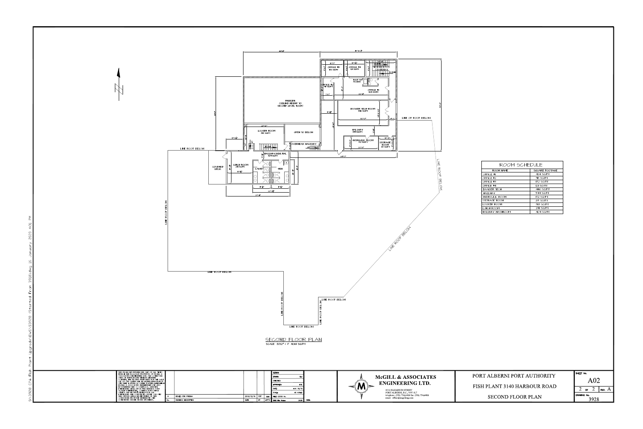

|                               |    |            | i design:<br><b>RLA</b><br>DRAWN:                                       |           | <b>McGILL &amp; ASSOCIATES</b>                                                                        |  |
|-------------------------------|----|------------|-------------------------------------------------------------------------|-----------|-------------------------------------------------------------------------------------------------------|--|
|                               |    |            | <b>CHECKED:</b><br><b>MCL</b><br><b>APPROVED:</b><br>AUG 19/19<br>DATE: |           | <b>ENGINEERING LTD.</b>                                                                               |  |
|                               |    |            | AS NOTED<br>SCALE:                                                      |           | 4610 ELIZABETH STREET<br>PORT ALBERNI, B.C., V9Y 6L7<br>telephone: (250) 724-3400 fax: (250) 724-4400 |  |
| 2019/12/18 PDT<br><b>DATE</b> | BY | <b>BAW</b> | FIELD BOOK No.<br>$APP'D$ nwc $File$ Name                               | 3028 SEAL | email: office@mcgilleng.com                                                                           |  |

| ROOM SCHEDULE         |                |  |  |  |  |  |
|-----------------------|----------------|--|--|--|--|--|
| ROOM NAME             | SQUARE FOOTAGE |  |  |  |  |  |
| OFFICE #1             | 424 SQ/FT      |  |  |  |  |  |
| OFFICE #2             | 98 SQ/FT       |  |  |  |  |  |
| OFFICE #3             | 132 SQ/FT      |  |  |  |  |  |
| OFFICE #4             | 121 SQ/FT      |  |  |  |  |  |
| BAADER TECH           | 446 SQ/FT      |  |  |  |  |  |
| HALLWAY               | 594 SQ/FT      |  |  |  |  |  |
| <b>HYDRAULIC ROOM</b> | 172 SQ/FT      |  |  |  |  |  |
| STORAGE ROOM          | 85 SQ/FT       |  |  |  |  |  |
| LOCKER ROOM           | 318 SQ/FT      |  |  |  |  |  |
| LUNCH ROOM            | 291 SQ/FT      |  |  |  |  |  |
| HALLWAY WASHROOM      | 409 SQ/FT      |  |  |  |  |  |

| PORT ALBERNI PORT AUTHORITY  | SHEET No.   |     |  |      |  |
|------------------------------|-------------|-----|--|------|--|
|                              | A()         |     |  |      |  |
| FISH PLANT 3140 HARBOUR ROAD |             | OF. |  | REV. |  |
| <b>SECOND FLOOR PLAN</b>     | DRAWING No. |     |  |      |  |